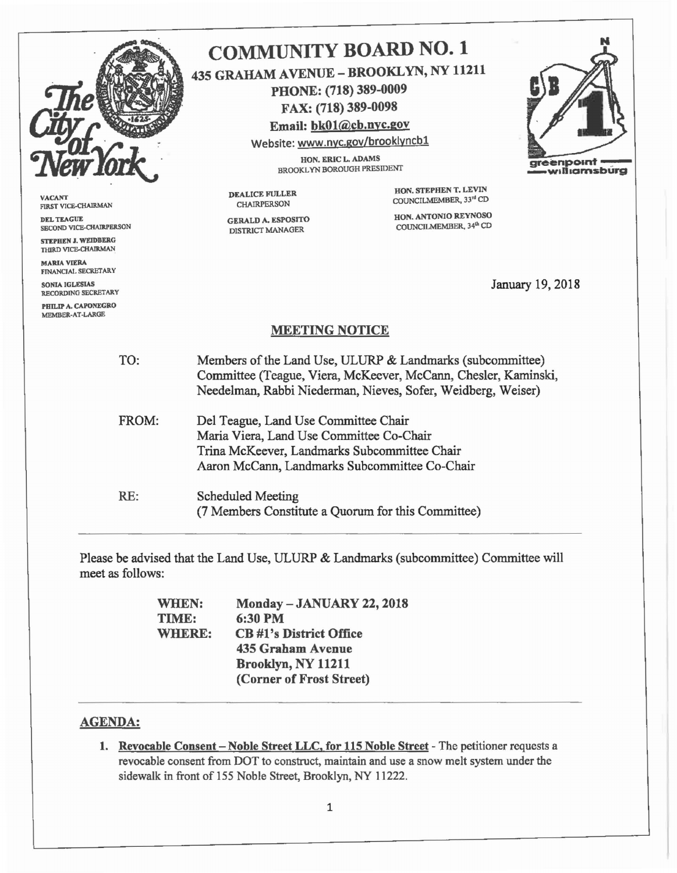

VACANT FIRST VICE-CHAIRMAN DEL TEAGUE

SECOND VICE-CHAIRPERSON STEPHEN J. WEIDBERG THIRD VICE-CHAIRMAN

MARIA VIERA FINANCIAL SECRETARY

SONIA IGLESIAS RECORDING SECRETARY

PHILIP A. CAPONEGRO MEMBER-AT-LARGE

## COMMUNITY BOARD NO.1 435 GRAHAM AVENUE - BROOKLYN, NY 11211 PHONE: (718) 389-0009 FAX: (718) 389-0098 Email: bkOl@cb.nyc.gov

Website: www.nyc.gov/brooklyncbl

HON. ERIC L. ADAMS HUN, EKIU L, ADANIS<br>BROOKLYN BOROUGH PRESIDENT Greenpolnf - willigmsburg

DEALICE FULLER CHAIRPERSON

GERALD A. ESPOSITO DISTRICT MANAGER

HON. STEPHEN T. LEVIN COUNCILMEMBER, 33rd CD

HON. ANTONIO REYNOSO COUNCILMEMBER, 34<sup>th</sup> CD

January 19,2018

## MEETING NOTICE

TO: Members ofthe Land Use, ULURP & Landmarks (subcommittee) Committee (Teague, Viera, McKeever, McCann, Chesler, Kaminski, Needelman, Rabbi Niederman, Nieves, Sofer, Weidberg, Weiser)

FROM: Del Teague, Land Use Committee Chair Maria Viera, Land Use Committee Co-Chair Trina McKeever, Landmarks Subcommittee Chair Aaron McCann, Landmarks Subcommittee Co-Chair

RE: Scheduled Meeting (7 Members Constitute a Quorum for this Committee)

Please be advised that the Land Use, ULURP & Landmarks (subcommittee) Committee will meet as follows:

> WHEN: TIME: WHERE: Monday - JANUARY 22, 2018 6:30PM CB #1'8 District Office 435 Graham Avenue Brooklyn, NY 11211 (Corner of Frost Street)

## AGENDA:

1. Revocable Consent - Noble Street LLC, for 115 Noble Street - The petitioner requests a revocable consent from DOT to construct, maintain and use a snow melt system under the sidewalk in front of 155 Noble Street, Brooklyn, NY 11222.

N